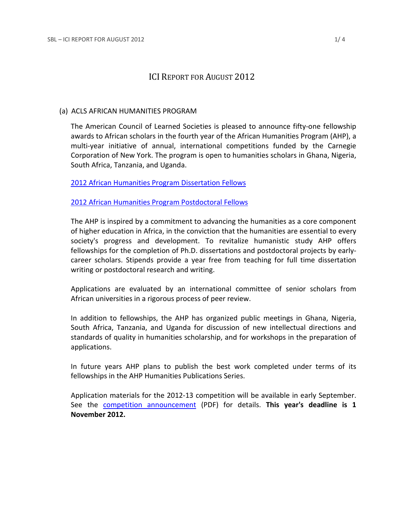# ICI REPORT FOR AUGUST 2012

## (a) ACLS AFRICAN HUMANITIES PROGRAM

The American Council of Learned Societies is pleased to announce fifty-one fellowship awards to African scholars in the fourth year of the African Humanities Program (AHP), a multi-year initiative of annual, international competitions funded by the Carnegie Corporation of New York. The program is open to humanities scholars in Ghana, Nigeria, South Africa, Tanzania, and Uganda.

[2012 African Humanities Program Dissertation Fellows](https://www.acls.org/fellows/ahp-diss/)

# [2012 African Humanities Program Postdoctoral Fellows](https://www.acls.org/fellows/ahp-postdoc/)

The AHP is inspired by a commitment to advancing the humanities as a core component of higher education in Africa, in the conviction that the humanities are essential to every society's progress and development. To revitalize humanistic study AHP offers fellowships for the completion of Ph.D. dissertations and postdoctoral projects by earlycareer scholars. Stipends provide a year free from teaching for full time dissertation writing or postdoctoral research and writing.

Applications are evaluated by an international committee of senior scholars from African universities in a rigorous process of peer review.

In addition to fellowships, the AHP has organized public meetings in Ghana, Nigeria, South Africa, Tanzania, and Uganda for discussion of new intellectual directions and standards of quality in humanities scholarship, and for workshops in the preparation of applications.

In future years AHP plans to publish the best work completed under terms of its fellowships in the AHP Humanities Publications Series.

Application materials for the 2012-13 competition will be available in early September. See the [competition announcement](http://www.acls.org/uploadedFiles/Fellowships_and_Grants/Competitions/1213_AHP_Comp_Announcement.pdf) (PDF) for details. **This year's deadline is 1 November 2012.**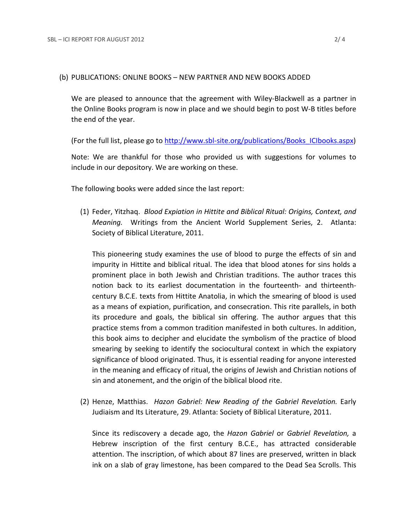#### (b) PUBLICATIONS: ONLINE BOOKS – NEW PARTNER AND NEW BOOKS ADDED

We are pleased to announce that the agreement with Wiley-Blackwell as a partner in the Online Books program is now in place and we should begin to post W-B titles before the end of the year.

(For the full list, please go to [http://www.sbl-site.org/publications/Books\\_ICIbooks.aspx\)](http://www.sbl-site.org/publications/Books_ICIbooks.aspx)

Note: We are thankful for those who provided us with suggestions for volumes to include in our depository. We are working on these.

The following books were added since the last report:

(1) Feder, Yitzhaq. *Blood Expiation in Hittite and Biblical Ritual: Origins, Context, and Meaning.* Writings from the Ancient World Supplement Series, 2. Atlanta: Society of Biblical Literature, 2011.

This pioneering study examines the use of blood to purge the effects of sin and impurity in Hittite and biblical ritual. The idea that blood atones for sins holds a prominent place in both Jewish and Christian traditions. The author traces this notion back to its earliest documentation in the fourteenth- and thirteenthcentury B.C.E. texts from Hittite Anatolia, in which the smearing of blood is used as a means of expiation, purification, and consecration. This rite parallels, in both its procedure and goals, the biblical sin offering. The author argues that this practice stems from a common tradition manifested in both cultures. In addition, this book aims to decipher and elucidate the symbolism of the practice of blood smearing by seeking to identify the sociocultural context in which the expiatory significance of blood originated. Thus, it is essential reading for anyone interested in the meaning and efficacy of ritual, the origins of Jewish and Christian notions of sin and atonement, and the origin of the biblical blood rite.

(2) Henze, Matthias. *Hazon Gabriel: New Reading of the Gabriel Revelation.* Early Judiaism and Its Literature, 29. Atlanta: Society of Biblical Literature, 2011.

Since its rediscovery a decade ago, the *Hazon Gabriel* or *Gabriel Revelation,* a Hebrew inscription of the first century B.C.E., has attracted considerable attention. The inscription, of which about 87 lines are preserved, written in black ink on a slab of gray limestone, has been compared to the Dead Sea Scrolls. This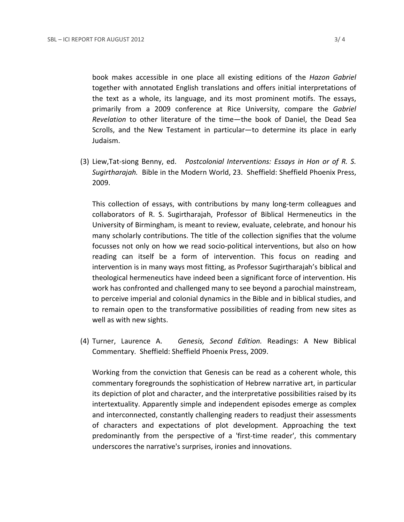book makes accessible in one place all existing editions of the *Hazon Gabriel* together with annotated English translations and offers initial interpretations of the text as a whole, its language, and its most prominent motifs. The essays, primarily from a 2009 conference at Rice University, compare the *Gabriel Revelation* to other literature of the time—the book of Daniel, the Dead Sea Scrolls, and the New Testament in particular—to determine its place in early Judaism.

(3) Liew,Tat-siong Benny, ed. *Postcolonial Interventions: Essays in Hon or of R. S. Sugirtharajah.* Bible in the Modern World, 23. Sheffield: Sheffield Phoenix Press, 2009.

This collection of essays, with contributions by many long-term colleagues and collaborators of R. S. Sugirtharajah, Professor of Biblical Hermeneutics in the University of Birmingham, is meant to review, evaluate, celebrate, and honour his many scholarly contributions. The title of the collection signifies that the volume focusses not only on how we read socio-political interventions, but also on how reading can itself be a form of intervention. This focus on reading and intervention is in many ways most fitting, as Professor Sugirtharajah's biblical and theological hermeneutics have indeed been a significant force of intervention. His work has confronted and challenged many to see beyond a parochial mainstream, to perceive imperial and colonial dynamics in the Bible and in biblical studies, and to remain open to the transformative possibilities of reading from new sites as well as with new sights.

(4) Turner, Laurence A. *Genesis, Second Edition.* Readings: A New Biblical Commentary. Sheffield: Sheffield Phoenix Press, 2009.

Working from the conviction that Genesis can be read as a coherent whole, this commentary foregrounds the sophistication of Hebrew narrative art, in particular its depiction of plot and character, and the interpretative possibilities raised by its intertextuality. Apparently simple and independent episodes emerge as complex and interconnected, constantly challenging readers to readjust their assessments of characters and expectations of plot development. Approaching the text predominantly from the perspective of a 'first-time reader', this commentary underscores the narrative's surprises, ironies and innovations.